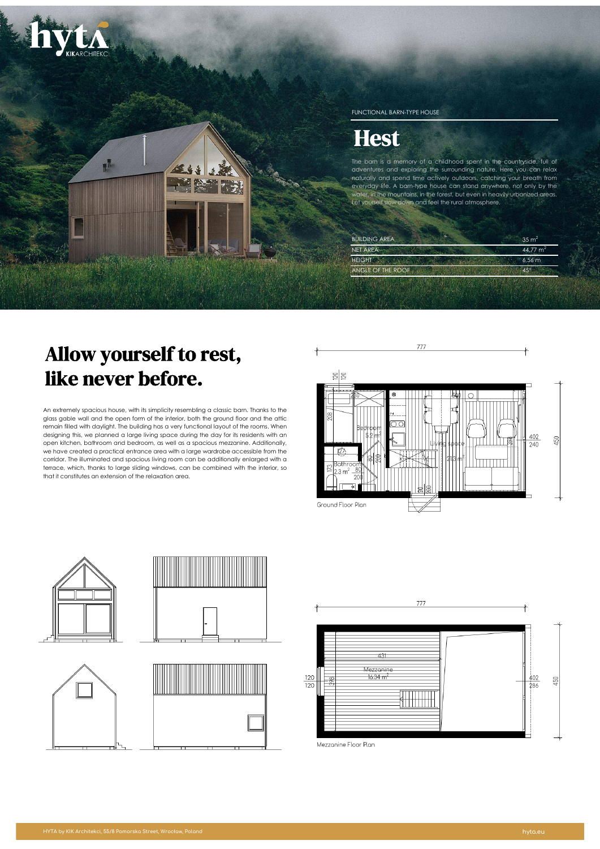

# Allow yourself to rest, like never before.

An extremely spacious house, with its simplicity resembling a classic barn. Thanks to the glass gable wall and the open form of the interior, both the ground floor and the attic remain filled with daylight. The building has a very functional layout of the rooms. When designing this, we planned a large living space during the day for its residents with an open kitchen, bathroom and bedroom, as well as a spacious mezzanine. Additionally, we have created a practical entrance area with a large wardrobe accessible from the corridor. The illuminated and spacious living room can be additionally enlarged with a terrace, which, thanks to large sliding windows, can be combined with the interior, so that it constitutes an extension of the relaxation area.